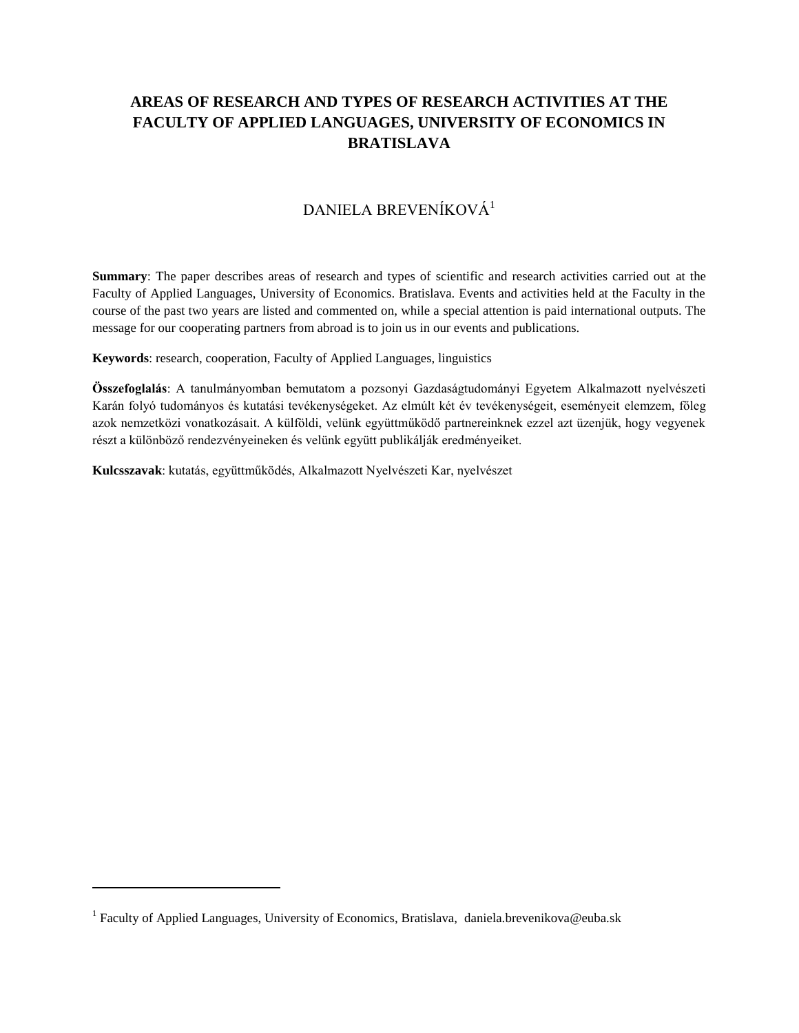# **AREAS OF RESEARCH AND TYPES OF RESEARCH ACTIVITIES AT THE FACULTY OF APPLIED LANGUAGES, UNIVERSITY OF ECONOMICS IN BRATISLAVA**

## DANIELA BREVENÍKOVÁ<sup>1</sup>

**Summary**: The paper describes areas of research and types of scientific and research activities carried out at the Faculty of Applied Languages, University of Economics. Bratislava. Events and activities held at the Faculty in the course of the past two years are listed and commented on, while a special attention is paid international outputs. The message for our cooperating partners from abroad is to join us in our events and publications.

**Keywords**: research, cooperation, Faculty of Applied Languages, linguistics

**Összefoglalás**: A tanulmányomban bemutatom a pozsonyi Gazdaságtudományi Egyetem Alkalmazott nyelvészeti Karán folyó tudományos és kutatási tevékenységeket. Az elmúlt két év tevékenységeit, eseményeit elemzem, főleg azok nemzetközi vonatkozásait. A külföldi, velünk együttműködő partnereinknek ezzel azt üzenjük, hogy vegyenek részt a különböző rendezvényeineken és velünk együtt publikálják eredményeiket.

**Kulcsszavak**: kutatás, együttműködés, Alkalmazott Nyelvészeti Kar, nyelvészet

 $\overline{a}$ 

<sup>&</sup>lt;sup>1</sup> Faculty of Applied Languages, University of Economics, Bratislava, daniela.brevenikova@euba.sk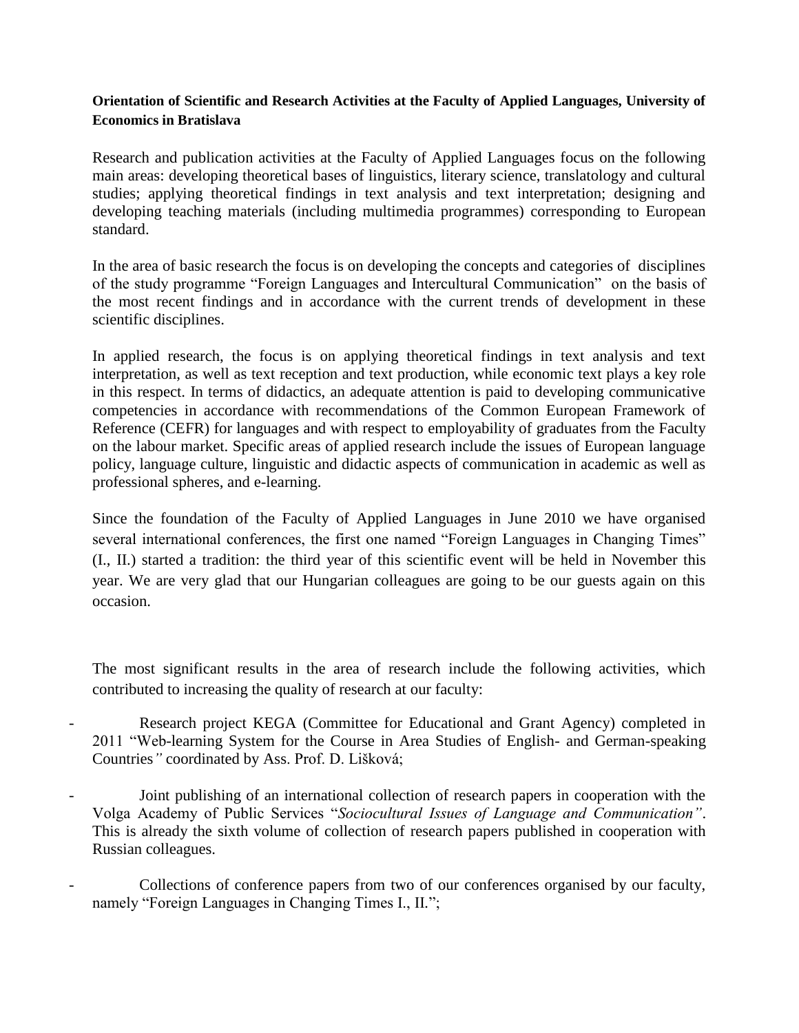### **Orientation of Scientific and Research Activities at the Faculty of Applied Languages, University of Economics in Bratislava**

Research and publication activities at the Faculty of Applied Languages focus on the following main areas: developing theoretical bases of linguistics, literary science, translatology and cultural studies; applying theoretical findings in text analysis and text interpretation; designing and developing teaching materials (including multimedia programmes) corresponding to European standard.

In the area of basic research the focus is on developing the concepts and categories of disciplines of the study programme "Foreign Languages and Intercultural Communication" on the basis of the most recent findings and in accordance with the current trends of development in these scientific disciplines.

In applied research, the focus is on applying theoretical findings in text analysis and text interpretation, as well as text reception and text production, while economic text plays a key role in this respect. In terms of didactics, an adequate attention is paid to developing communicative competencies in accordance with recommendations of the Common European Framework of Reference (CEFR) for languages and with respect to employability of graduates from the Faculty on the labour market. Specific areas of applied research include the issues of European language policy, language culture, linguistic and didactic aspects of communication in academic as well as professional spheres, and e-learning.

Since the foundation of the Faculty of Applied Languages in June 2010 we have organised several international conferences, the first one named "Foreign Languages in Changing Times" (I., II.) started a tradition: the third year of this scientific event will be held in November this year. We are very glad that our Hungarian colleagues are going to be our guests again on this occasion.

The most significant results in the area of research include the following activities, which contributed to increasing the quality of research at our faculty:

Research project KEGA (Committee for Educational and Grant Agency) completed in 2011 "Web-learning System for the Course in Area Studies of English- and German-speaking Countries*"* coordinated by Ass. Prof. D. Lišková;

- Joint publishing of an international collection of research papers in cooperation with the Volga Academy of Public Services "*Sociocultural Issues of Language and Communication"*. This is already the sixth volume of collection of research papers published in cooperation with Russian colleagues.
- Collections of conference papers from two of our conferences organised by our faculty, namely "Foreign Languages in Changing Times I., II*.*";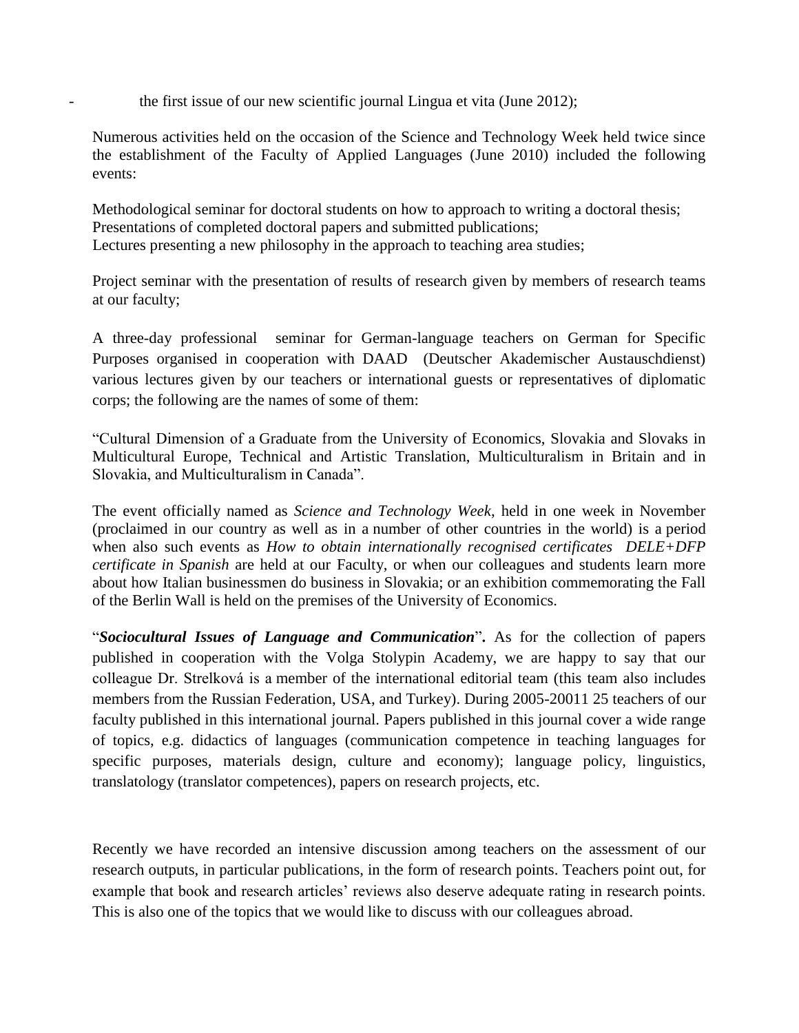the first issue of our new scientific journal Lingua et vita (June 2012);

Numerous activities held on the occasion of the Science and Technology Week held twice since the establishment of the Faculty of Applied Languages (June 2010) included the following events:

 Methodological seminar for doctoral students on how to approach to writing a doctoral thesis; Presentations of completed doctoral papers and submitted publications; Lectures presenting a new philosophy in the approach to teaching area studies;

Project seminar with the presentation of results of research given by members of research teams at our faculty;

A three-day professional seminar for German-language teachers on German for Specific Purposes organised in cooperation with DAAD (Deutscher Akademischer Austauschdienst) various lectures given by our teachers or international guests or representatives of diplomatic corps; the following are the names of some of them:

"Cultural Dimension of a Graduate from the University of Economics, Slovakia and Slovaks in Multicultural Europe, Technical and Artistic Translation, Multiculturalism in Britain and in Slovakia, and Multiculturalism in Canada".

The event officially named as *Science and Technology Week*, held in one week in November (proclaimed in our country as well as in a number of other countries in the world) is a period when also such events as *How to obtain internationally recognised certificates DELE+DFP certificate in Spanish* are held at our Faculty, or when our colleagues and students learn more about how Italian businessmen do business in Slovakia; or an exhibition commemorating the Fall of the Berlin Wall is held on the premises of the University of Economics.

"*Sociocultural Issues of Language and Communication*"**.** As for the collection of papers published in cooperation with the Volga Stolypin Academy, we are happy to say that our colleague Dr. Strelková is a member of the international editorial team (this team also includes members from the Russian Federation, USA, and Turkey). During 2005-20011 25 teachers of our faculty published in this international journal. Papers published in this journal cover a wide range of topics, e.g. didactics of languages (communication competence in teaching languages for specific purposes, materials design, culture and economy); language policy, linguistics, translatology (translator competences), papers on research projects, etc.

Recently we have recorded an intensive discussion among teachers on the assessment of our research outputs, in particular publications, in the form of research points. Teachers point out, for example that book and research articles' reviews also deserve adequate rating in research points. This is also one of the topics that we would like to discuss with our colleagues abroad.